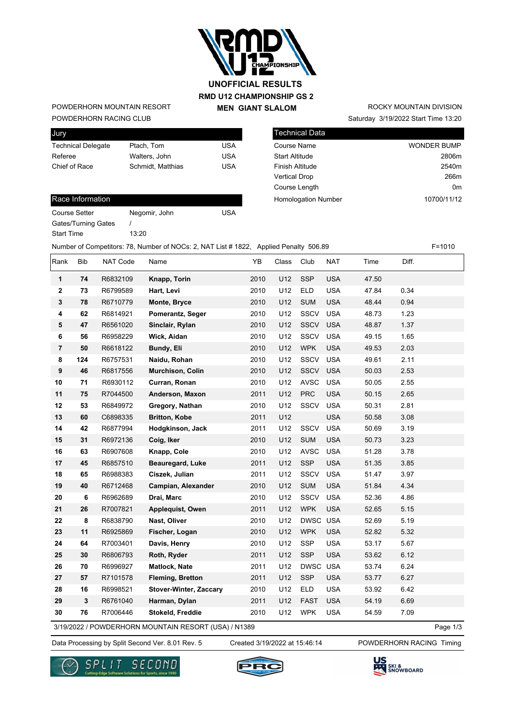

## **RMD U12 CHAMPIONSHIP GS 2 MEN GIANT SLALOM UNOFFICIAL RESULTS**

#### POWDERHORN RACING CLUB POWDERHORN MOUNTAIN RESORT

| Jury                      |                  |     |
|---------------------------|------------------|-----|
| <b>Technical Delegate</b> | Ptach, Tom       | USA |
| Referee                   | Walters, John    | USA |
| Chief of Race             | Schmidt Matthias | USA |
|                           |                  |     |

### Saturday 3/19/2022 Start Time 13:20 ROCKY MOUNTAIN DIVISION

| Technical Data             |                    |
|----------------------------|--------------------|
| <b>Course Name</b>         | <b>WONDER BUMP</b> |
| <b>Start Altitude</b>      | 2806m              |
| <b>Finish Altitude</b>     | 2540m              |
| <b>Vertical Drop</b>       | 266m               |
| Course Length              | 0m                 |
| <b>Homologation Number</b> | 10700/11/12        |

#### Race Information

| Course Setter       | Nego  |
|---------------------|-------|
| Gates/Turning Gates |       |
| <b>Start Time</b>   | 13:20 |

Negomir, John USA

Number of Competitors: 78, Number of NOCs: 2, NAT List # 1822, Applied Penalty 506.89 F=1010

Rank Bib NAT $\,$  Code Name  $\,$  YB Class Club NAT Time Diff. **1 74** R6832109 **Knapp, Torin** 2010 U12 SSP USA 47.50 **2 73** R6799589 **Hart, Levi** 2010 U12 ELD USA 47.84 0.34 **3 78** R6710779 **Monte, Bryce** 2010 U12 SUM USA 48.44 0.94 **4 62** R6814921 **Pomerantz, Seger** 2010 U12 SSCV USA 48.73 1.23 **5 47** R6561020 **Sinclair, Rylan** 2010 U12 SSCV USA 48.87 1.37 **6 56** R6958229 **Wick, Aidan** 2010 U12 SSCV USA 49.15 1.65 **7 50** R6618122 **Bundy, Eli** 2010 U12 WPK USA 49.53 2.03 **8 124** R6757531 **Naidu, Rohan** 2010 U12 SSCV USA 49.61 2.11 **9 46** R6817556 **Murchison, Colin** 2010 U12 SSCV USA 50.03 2.53 **10 71** R6930112 **Curran, Ronan** 2010 U12 AVSC USA 50.05 2.55 **11 75** R7044500 **Anderson, Maxon** 2011 U12 PRC USA 50.15 2.65 **12 53** R6849972 **Gregory, Nathan** 2010 U12 SSCV USA 50.31 2.81 **13 60** C6898335 **Britton, Kobe** 2011 U12 USA 50.58 3.08 **14 42** R6877994 **Hodgkinson, Jack** 2011 U12 SSCV USA 50.69 3.19 **15 31** R6972136 **Coig, Iker** 2010 U12 SUM USA 50.73 3.23 **16 63** R6907608 **Knapp, Cole** 2010 U12 AVSC USA 51.28 3.78 **17 45** R6857510 **Beauregard, Luke** 2011 U12 SSP USA 51.35 3.85 **18 65** R6988383 **Ciszek, Julian** 2011 U12 SSCV USA 51.47 3.97 **19 40** R6712468 **Campian, Alexander** 2010 U12 SUM USA 51.84 4.34 **20 6** R6962689 **Drai, Marc** 2010 U12 SSCV USA 52.36 4.86 **21 26** R7007821 **Applequist, Owen** 2011 U12 WPK USA 52.65 5.15 **22 8** R6838790 **Nast, Oliver** 2010 U12 DWSC USA 52.69 5.19 **23 11** R6925869 **Fischer, Logan** 2010 U12 WPK USA 52.82 5.32 **24 64** R7003401 **Davis, Henry** 2010 U12 SSP USA 53.17 5.67 **25 30** R6806793 **Roth, Ryder** 2011 U12 SSP USA 53.62 6.12 **26 70** R6996927 **Matlock, Nate** 2011 U12 DWSC USA 53.74 6.24 **27 57** R7101578 **Fleming, Bretton** 2011 U12 SSP USA 53.77 6.27 **28 16** R6998521 **Stover-Winter, Zaccary** 2010 U12 ELD USA 53.92 6.42 **29 3** R6761040 **Harman, Dylan** 2011 U12 FAST USA 54.19 6.69 **30 76** R7006446 **Stokeld, Freddie** 2010 U12 WPK USA 54.59 7.09

3/19/2022 / POWDERHORN MOUNTAIN RESORT (USA) / N1389

Page 1/3

Data Processing by Split Second Ver. 8.01 Rev. 5 Created 3/19/2022 at 15:46:14 POWDERHORN RACING Timing

Created 3/19/2022 at 15:46:14





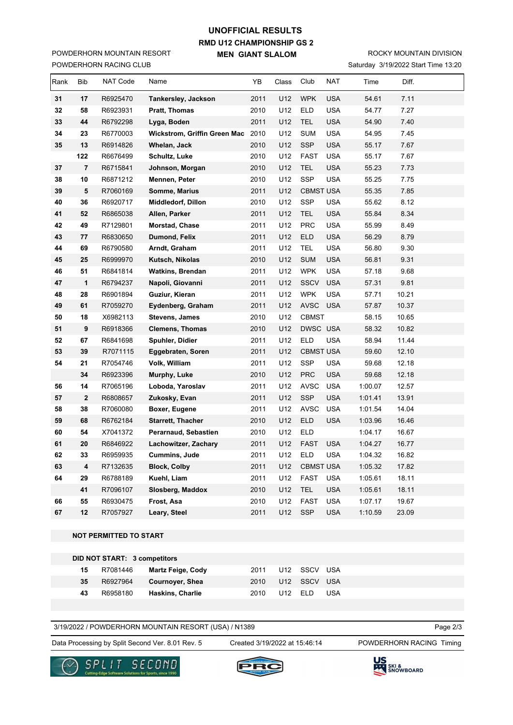# **RMD U12 CHAMPIONSHIP GS 2 MEN GIANT SLALOM UNOFFICIAL RESULTS**

POWDERHORN RACING CLUB POWDERHORN MOUNTAIN RESORT

# ROCKY MOUNTAIN DIVISION

|  | Saturday 3/19/2022 Start Time 13:20 |  |
|--|-------------------------------------|--|
|--|-------------------------------------|--|

| Rank | Bib            | NAT Code | Name                              | YB   | Class | Club             | NAT        | Time    | Diff. |  |
|------|----------------|----------|-----------------------------------|------|-------|------------------|------------|---------|-------|--|
| 31   | 17             | R6925470 | Tankersley, Jackson               | 2011 | U12   | <b>WPK</b>       | <b>USA</b> | 54.61   | 7.11  |  |
| 32   | 58             | R6923931 | Pratt, Thomas                     | 2010 | U12   | <b>ELD</b>       | <b>USA</b> | 54.77   | 7.27  |  |
| 33   | 44             | R6792298 | Lyga, Boden                       | 2011 | U12   | <b>TEL</b>       | <b>USA</b> | 54.90   | 7.40  |  |
| 34   | 23             | R6770003 | Wickstrom, Griffin Green Mac 2010 |      | U12   | <b>SUM</b>       | <b>USA</b> | 54.95   | 7.45  |  |
| 35   | 13             | R6914826 | Whelan, Jack                      | 2010 | U12   | <b>SSP</b>       | <b>USA</b> | 55.17   | 7.67  |  |
|      | 122            | R6676499 | Schultz, Luke                     | 2010 | U12   | <b>FAST</b>      | <b>USA</b> | 55.17   | 7.67  |  |
| 37   | $\overline{7}$ | R6715841 | Johnson, Morgan                   | 2010 | U12   | <b>TEL</b>       | <b>USA</b> | 55.23   | 7.73  |  |
| 38   | 10             | R6871212 | Mennen, Peter                     | 2010 | U12   | <b>SSP</b>       | <b>USA</b> | 55.25   | 7.75  |  |
| 39   | 5              | R7060169 | Somme, Marius                     | 2011 | U12   | <b>CBMST USA</b> |            | 55.35   | 7.85  |  |
| 40   | 36             | R6920717 | Middledorf, Dillon                | 2010 | U12   | <b>SSP</b>       | <b>USA</b> | 55.62   | 8.12  |  |
| 41   | 52             | R6865038 | Allen, Parker                     | 2011 | U12   | <b>TEL</b>       | <b>USA</b> | 55.84   | 8.34  |  |
| 42   | 49             | R7129801 | Morstad, Chase                    | 2011 | U12   | <b>PRC</b>       | <b>USA</b> | 55.99   | 8.49  |  |
| 43   | 77             | R6830650 | Dumond, Felix                     | 2011 | U12   | <b>ELD</b>       | <b>USA</b> | 56.29   | 8.79  |  |
| 44   | 69             | R6790580 | Arndt, Graham                     | 2011 | U12   | <b>TEL</b>       | <b>USA</b> | 56.80   | 9.30  |  |
| 45   | 25             | R6999970 | Kutsch, Nikolas                   | 2010 | U12   | <b>SUM</b>       | <b>USA</b> | 56.81   | 9.31  |  |
| 46   | 51             | R6841814 | <b>Watkins, Brendan</b>           | 2011 | U12   | <b>WPK</b>       | <b>USA</b> | 57.18   | 9.68  |  |
| 47   | $\mathbf{1}$   | R6794237 | Napoli, Giovanni                  | 2011 | U12   | <b>SSCV</b>      | <b>USA</b> | 57.31   | 9.81  |  |
| 48   | 28             | R6901894 | Guziur, Kieran                    | 2011 | U12   | <b>WPK</b>       | <b>USA</b> | 57.71   | 10.21 |  |
| 49   | 61             | R7059270 | Eydenberg, Graham                 | 2011 | U12   | <b>AVSC</b>      | <b>USA</b> | 57.87   | 10.37 |  |
| 50   | 18             | X6982113 | <b>Stevens, James</b>             | 2010 | U12   | <b>CBMST</b>     |            | 58.15   | 10.65 |  |
| 51   | 9              | R6918366 | <b>Clemens, Thomas</b>            | 2010 | U12   | DWSC USA         |            | 58.32   | 10.82 |  |
| 52   | 67             | R6841698 | Spuhler, Didier                   | 2011 | U12   | <b>ELD</b>       | <b>USA</b> | 58.94   | 11.44 |  |
| 53   | 39             | R7071115 | Eggebraten, Soren                 | 2011 | U12   | <b>CBMST USA</b> |            | 59.60   | 12.10 |  |
| 54   | 21             | R7054746 | Volk, William                     | 2011 | U12   | <b>SSP</b>       | <b>USA</b> | 59.68   | 12.18 |  |
|      | 34             | R6923396 | Murphy, Luke                      | 2010 | U12   | <b>PRC</b>       | <b>USA</b> | 59.68   | 12.18 |  |
| 56   | 14             | R7065196 | Loboda, Yaroslav                  | 2011 | U12   | AVSC             | <b>USA</b> | 1:00.07 | 12.57 |  |
| 57   | $\mathbf 2$    | R6808657 | Zukosky, Evan                     | 2011 | U12   | <b>SSP</b>       | <b>USA</b> | 1:01.41 | 13.91 |  |
| 58   | 38             | R7060080 | Boxer, Eugene                     | 2011 | U12   | <b>AVSC</b>      | <b>USA</b> | 1:01.54 | 14.04 |  |
| 59   | 68             | R6762184 | <b>Starrett, Thacher</b>          | 2010 | U12   | ELD              | <b>USA</b> | 1:03.96 | 16.46 |  |
| 60   | 54             | X7041372 | Perarnaud, Sebastien              | 2010 | U12   | <b>ELD</b>       |            | 1:04.17 | 16.67 |  |
| 61   | 20             | R6846922 | Lachowitzer, Zachary              | 2011 | U12   | <b>FAST</b>      | <b>USA</b> | 1:04.27 | 16.77 |  |
| 62   | 33             | R6959935 | <b>Cummins, Jude</b>              | 2011 | U12   | <b>ELD</b>       | <b>USA</b> | 1:04.32 | 16.82 |  |
| 63   | 4              | R7132635 | <b>Block, Colby</b>               | 2011 | U12   | <b>CBMST USA</b> |            | 1:05.32 | 17.82 |  |
| 64   | 29             | R6788189 | Kuehl, Liam                       | 2011 | U12   | <b>FAST</b>      | <b>USA</b> | 1:05.61 | 18.11 |  |
|      | 41             | R7096107 | Slosberg, Maddox                  | 2010 | U12   | <b>TEL</b>       | <b>USA</b> | 1:05.61 | 18.11 |  |
| 66   | 55             | R6930475 | Frost, Asa                        | 2010 | U12   | <b>FAST</b>      | <b>USA</b> | 1:07.17 | 19.67 |  |
| 67   | 12             | R7057927 | Leary, Steel                      | 2011 | U12   | <b>SSP</b>       | <b>USA</b> | 1:10.59 | 23.09 |  |

#### **NOT PERMITTED TO START**

| 15 | R7081446 | Martz Feige, Cody       | 2011 | U12 SSCV USA |            |
|----|----------|-------------------------|------|--------------|------------|
| 35 | R6927964 | Cournover, Shea         | 2010 | U12 SSCV USA |            |
| 43 | R6958180 | <b>Haskins, Charlie</b> | 2010 | $III2$ FID   | <b>USA</b> |

3/19/2022 / POWDERHORN MOUNTAIN RESORT (USA) / N1389

Data Processing by Split Second Ver. 8.01 Rev. 5 Created 3/19/2022 at 15:46:14 POWDERHORN RACING Timing

Created 3/19/2022 at 15:46:14

Page 2/3